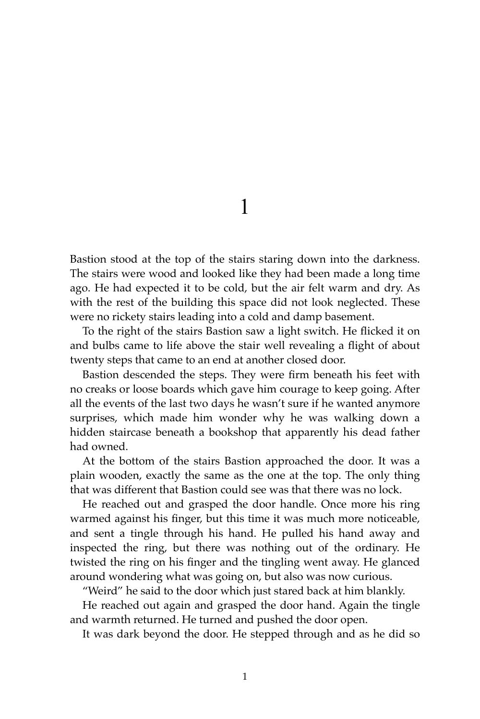1

Bastion stood at the top of the stairs staring down into the darkness. The stairs were wood and looked like they had been made a long time ago. He had expected it to be cold, but the air felt warm and dry. As with the rest of the building this space did not look neglected. These were no rickety stairs leading into a cold and damp basement.

To the right of the stairs Bastion saw a light switch. He flicked it on and bulbs came to life above the stair well revealing a flight of about twenty steps that came to an end at another closed door.

Bastion descended the steps. They were firm beneath his feet with no creaks or loose boards which gave him courage to keep going. After all the events of the last two days he wasn't sure if he wanted anymore surprises, which made him wonder why he was walking down a hidden staircase beneath a bookshop that apparently his dead father had owned.

At the bottom of the stairs Bastion approached the door. It was a plain wooden, exactly the same as the one at the top. The only thing that was different that Bastion could see was that there was no lock.

He reached out and grasped the door handle. Once more his ring warmed against his finger, but this time it was much more noticeable, and sent a tingle through his hand. He pulled his hand away and inspected the ring, but there was nothing out of the ordinary. He twisted the ring on his finger and the tingling went away. He glanced around wondering what was going on, but also was now curious.

"Weird" he said to the door which just stared back at him blankly.

He reached out again and grasped the door hand. Again the tingle and warmth returned. He turned and pushed the door open.

It was dark beyond the door. He stepped through and as he did so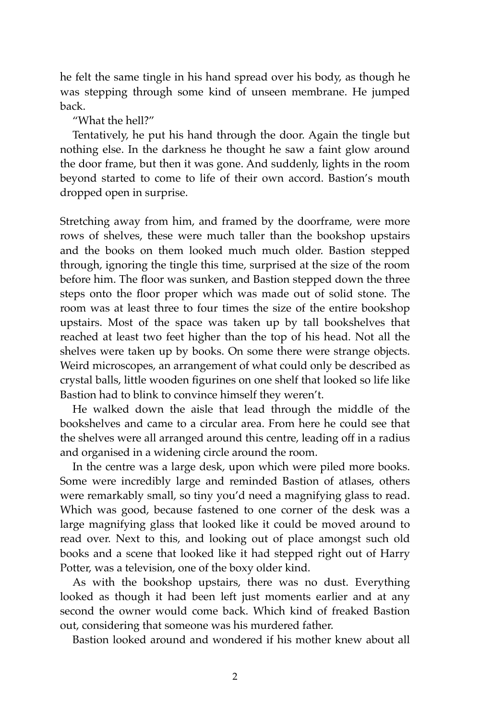he felt the same tingle in his hand spread over his body, as though he was stepping through some kind of unseen membrane. He jumped back.

"What the hell?"

Tentatively, he put his hand through the door. Again the tingle but nothing else. In the darkness he thought he saw a faint glow around the door frame, but then it was gone. And suddenly, lights in the room beyond started to come to life of their own accord. Bastion's mouth dropped open in surprise.

Stretching away from him, and framed by the doorframe, were more rows of shelves, these were much taller than the bookshop upstairs and the books on them looked much much older. Bastion stepped through, ignoring the tingle this time, surprised at the size of the room before him. The floor was sunken, and Bastion stepped down the three steps onto the floor proper which was made out of solid stone. The room was at least three to four times the size of the entire bookshop upstairs. Most of the space was taken up by tall bookshelves that reached at least two feet higher than the top of his head. Not all the shelves were taken up by books. On some there were strange objects. Weird microscopes, an arrangement of what could only be described as crystal balls, little wooden figurines on one shelf that looked so life like Bastion had to blink to convince himself they weren't.

He walked down the aisle that lead through the middle of the bookshelves and came to a circular area. From here he could see that the shelves were all arranged around this centre, leading off in a radius and organised in a widening circle around the room.

In the centre was a large desk, upon which were piled more books. Some were incredibly large and reminded Bastion of atlases, others were remarkably small, so tiny you'd need a magnifying glass to read. Which was good, because fastened to one corner of the desk was a large magnifying glass that looked like it could be moved around to read over. Next to this, and looking out of place amongst such old books and a scene that looked like it had stepped right out of Harry Potter, was a television, one of the boxy older kind.

As with the bookshop upstairs, there was no dust. Everything looked as though it had been left just moments earlier and at any second the owner would come back. Which kind of freaked Bastion out, considering that someone was his murdered father.

Bastion looked around and wondered if his mother knew about all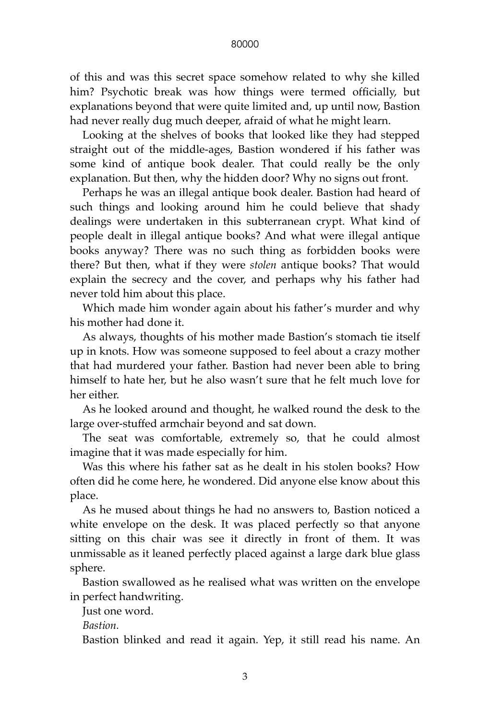## 80000

of this and was this secret space somehow related to why she killed him? Psychotic break was how things were termed officially, but explanations beyond that were quite limited and, up until now, Bastion had never really dug much deeper, afraid of what he might learn.

Looking at the shelves of books that looked like they had stepped straight out of the middle-ages, Bastion wondered if his father was some kind of antique book dealer. That could really be the only explanation. But then, why the hidden door? Why no signs out front.

Perhaps he was an illegal antique book dealer. Bastion had heard of such things and looking around him he could believe that shady dealings were undertaken in this subterranean crypt. What kind of people dealt in illegal antique books? And what were illegal antique books anyway? There was no such thing as forbidden books were there? But then, what if they were *stolen* antique books? That would explain the secrecy and the cover, and perhaps why his father had never told him about this place.

Which made him wonder again about his father's murder and why his mother had done it.

As always, thoughts of his mother made Bastion's stomach tie itself up in knots. How was someone supposed to feel about a crazy mother that had murdered your father. Bastion had never been able to bring himself to hate her, but he also wasn't sure that he felt much love for her either.

As he looked around and thought, he walked round the desk to the large over-stuffed armchair beyond and sat down.

The seat was comfortable, extremely so, that he could almost imagine that it was made especially for him.

Was this where his father sat as he dealt in his stolen books? How often did he come here, he wondered. Did anyone else know about this place.

As he mused about things he had no answers to, Bastion noticed a white envelope on the desk. It was placed perfectly so that anyone sitting on this chair was see it directly in front of them. It was unmissable as it leaned perfectly placed against a large dark blue glass sphere.

Bastion swallowed as he realised what was written on the envelope in perfect handwriting.

Just one word.

*Bastion.*

Bastion blinked and read it again. Yep, it still read his name. An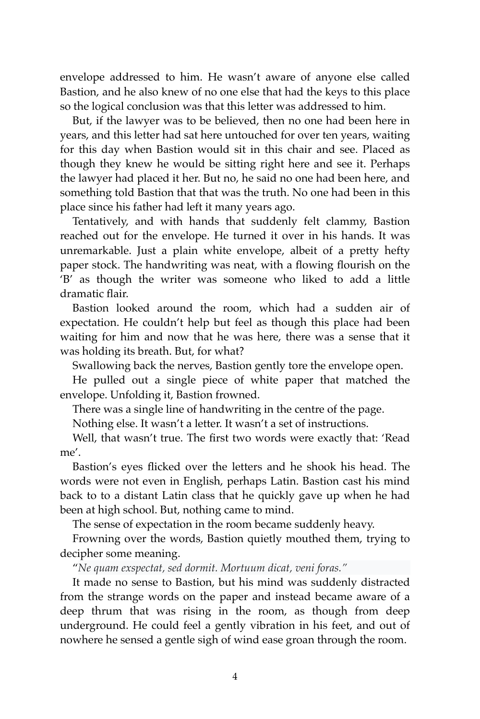envelope addressed to him. He wasn't aware of anyone else called Bastion, and he also knew of no one else that had the keys to this place so the logical conclusion was that this letter was addressed to him.

But, if the lawyer was to be believed, then no one had been here in years, and this letter had sat here untouched for over ten years, waiting for this day when Bastion would sit in this chair and see. Placed as though they knew he would be sitting right here and see it. Perhaps the lawyer had placed it her. But no, he said no one had been here, and something told Bastion that that was the truth. No one had been in this place since his father had left it many years ago.

Tentatively, and with hands that suddenly felt clammy, Bastion reached out for the envelope. He turned it over in his hands. It was unremarkable. Just a plain white envelope, albeit of a pretty hefty paper stock. The handwriting was neat, with a flowing flourish on the 'B' as though the writer was someone who liked to add a little dramatic flair.

Bastion looked around the room, which had a sudden air of expectation. He couldn't help but feel as though this place had been waiting for him and now that he was here, there was a sense that it was holding its breath. But, for what?

Swallowing back the nerves, Bastion gently tore the envelope open.

He pulled out a single piece of white paper that matched the envelope. Unfolding it, Bastion frowned.

There was a single line of handwriting in the centre of the page.

Nothing else. It wasn't a letter. It wasn't a set of instructions.

Well, that wasn't true. The first two words were exactly that: 'Read me'.

Bastion's eyes flicked over the letters and he shook his head. The words were not even in English, perhaps Latin. Bastion cast his mind back to to a distant Latin class that he quickly gave up when he had been at high school. But, nothing came to mind.

The sense of expectation in the room became suddenly heavy.

Frowning over the words, Bastion quietly mouthed them, trying to decipher some meaning.

"*Ne quam exspectat, sed dormit. Mortuum dicat, veni foras."*

It made no sense to Bastion, but his mind was suddenly distracted from the strange words on the paper and instead became aware of a deep thrum that was rising in the room, as though from deep underground. He could feel a gently vibration in his feet, and out of nowhere he sensed a gentle sigh of wind ease groan through the room.